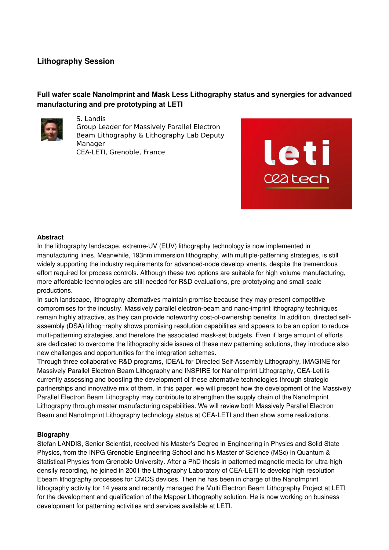## **Lithography Session**

# **Full wafer scale NanoImprint and Mask Less Lithography status and synergies for advanced manufacturing and pre prototyping at LETI**



S. Landis Group Leader for Massively Parallel Electron Beam Lithography & Lithography Lab Deputy Manager CEA-LETI, Grenoble, France



#### **Abstract**

In the lithography landscape, extreme-UV (EUV) lithography technology is now implemented in manufacturing lines. Meanwhile, 193nm immersion lithography, with multiple-patterning strategies, is still widely supporting the industry requirements for advanced-node develop-ments, despite the tremendous effort required for process controls. Although these two options are suitable for high volume manufacturing, more affordable technologies are still needed for R&D evaluations, pre-prototyping and small scale productions.

In such landscape, lithography alternatives maintain promise because they may present competitive compromises for the industry. Massively parallel electron-beam and nano-imprint lithography techniques remain highly attractive, as they can provide noteworthy cost-of-ownership benefits. In addition, directed selfassembly (DSA) lithog¬raphy shows promising resolution capabilities and appears to be an option to reduce multi-patterning strategies, and therefore the associated mask-set budgets. Even if large amount of efforts are dedicated to overcome the lithography side issues of these new patterning solutions, they introduce also new challenges and opportunities for the integration schemes.

Through three collaborative R&D programs, IDEAL for Directed Self-Assembly Lithography, IMAGINE for Massively Parallel Electron Beam Lithography and INSPIRE for NanoImprint Lithography, CEALeti is currently assessing and boosting the development of these alternative technologies through strategic partnerships and innovative mix of them. In this paper, we will present how the development of the Massively Parallel Electron Beam Lithography may contribute to strengthen the supply chain of the NanoImprint Lithography through master manufacturing capabilities. We will review both Massively Parallel Electron Beam and NanoImprint Lithography technology status at CEALETI and then show some realizations.

### **Biography**

Stefan LANDIS, Senior Scientist, received his Master's Degree in Engineering in Physics and Solid State Physics, from the INPG Grenoble Engineering School and his Master of Science (MSc) in Quantum & Statistical Physics from Grenoble University. After a PhD thesis in patterned magnetic media for ultra-high density recording, he joined in 2001 the Lithography Laboratory of CEALETI to develop high resolution Ebeam lithography processes for CMOS devices. Then he has been in charge of the NanoImprint lithography activity for 14 years and recently managed the Multi Electron Beam Lithography Project at LETI for the development and qualification of the Mapper Lithography solution. He is now working on business development for patterning activities and services available at LETI.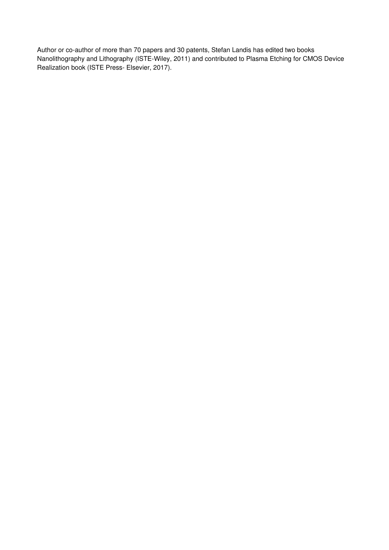Author or co-author of more than 70 papers and 30 patents, Stefan Landis has edited two books Nanolithography and Lithography (ISTE-Wiley, 2011) and contributed to Plasma Etching for CMOS Device Realization book (ISTE Press- Elsevier, 2017).